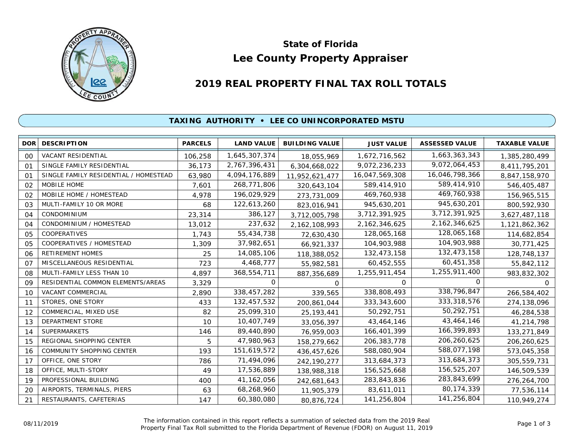

# **Lee County Property Appraiser State of Florida**

# **2019 REAL PROPERTY FINAL TAX ROLL TOTALS**

## **TAXING AUTHORITY • LEE CO UNINCORPORATED MSTU**

| <b>DOR</b>     | <b>DESCRIPTION</b>                    | <b>PARCELS</b> | <b>LAND VALUE</b> | <b>BUILDING VALUE</b> | <b>JUST VALUE</b> | <b>ASSESSED VALUE</b> | <b>TAXABLE VALUE</b> |
|----------------|---------------------------------------|----------------|-------------------|-----------------------|-------------------|-----------------------|----------------------|
| 00             | <b>VACANT RESIDENTIAL</b>             | 106,258        | 1,645,307,374     | 18,055,969            | 1,672,716,562     | 1,663,363,343         | 1,385,280,499        |
| O <sub>1</sub> | SINGLE FAMILY RESIDENTIAL             | 36,173         | 2,767,396,431     | 6,304,668,022         | 9,072,236,233     | 9,072,064,453         | 8,411,795,201        |
| 01             | SINGLE FAMILY RESIDENTIAL / HOMESTEAD | 63,980         | 4,094,176,889     | 11,952,621,477        | 16,047,569,308    | 16,046,798,366        | 8,847,158,970        |
| 02             | MOBILE HOME                           | 7,601          | 268,771,806       | 320,643,104           | 589,414,910       | 589,414,910           | 546,405,487          |
| 02             | MOBILE HOME / HOMESTEAD               | 4,978          | 196,029,929       | 273,731,009           | 469,760,938       | 469,760,938           | 156,965,515          |
| 03             | MULTI-FAMILY 10 OR MORE               | 68             | 122,613,260       | 823,016,941           | 945,630,201       | 945,630,201           | 800,592,930          |
| 04             | CONDOMINIUM                           | 23,314         | 386,127           | 3,712,005,798         | 3,712,391,925     | 3,712,391,925         | 3,627,487,118        |
| 04             | CONDOMINIUM / HOMESTEAD               | 13,012         | 237,632           | 2,162,108,993         | 2,162,346,625     | 2,162,346,625         | 1,121,862,362        |
| 05             | COOPERATIVES                          | 1,743          | 55,434,738        | 72,630,430            | 128,065,168       | 128,065,168           | 114,682,854          |
| 05             | COOPERATIVES / HOMESTEAD              | 1,309          | 37,982,651        | 66,921,337            | 104,903,988       | 104,903,988           | 30,771,425           |
| 06             | <b>RETIREMENT HOMES</b>               | 25             | 14,085,106        | 118,388,052           | 132,473,158       | 132,473,158           | 128,748,137          |
| O <sub>7</sub> | MISCELLANEOUS RESIDENTIAL             | 723            | 4,468,777         | 55,982,581            | 60,452,555        | 60,451,358            | 55,842,112           |
| 08             | MULTI-FAMILY LESS THAN 10             | 4,897          | 368,554,711       | 887,356,689           | 1,255,911,454     | 1,255,911,400         | 983,832,302          |
| 09             | RESIDENTIAL COMMON ELEMENTS/AREAS     | 3,329          | 0                 | $\Omega$              | $\Omega$          | $\Omega$              | $\Omega$             |
| 10             | VACANT COMMERCIAL                     | 2,890          | 338,457,282       | 339,565               | 338,808,493       | 338,796,847           | 266,584,402          |
| 11             | STORES, ONE STORY                     | 433            | 132,457,532       | 200,861,044           | 333, 343, 600     | 333, 318, 576         | 274,138,096          |
| 12             | COMMERCIAL, MIXED USE                 | 82             | 25,099,310        | 25, 193, 441          | 50,292,751        | 50,292,751            | 46,284,538           |
| 13             | <b>DEPARTMENT STORE</b>               | 10             | 10,407,749        | 33,056,397            | 43,464,146        | 43,464,146            | 41,214,798           |
| 14             | <b>SUPERMARKETS</b>                   | 146            | 89,440,890        | 76,959,003            | 166,401,399       | 166,399,893           | 133,271,849          |
| 15             | REGIONAL SHOPPING CENTER              | 5              | 47,980,963        | 158,279,662           | 206,383,778       | 206,260,625           | 206,260,625          |
| 16             | COMMUNITY SHOPPING CENTER             | 193            | 151,619,572       | 436,457,626           | 588,080,904       | 588,077,198           | 573,045,358          |
| 17             | OFFICE, ONE STORY                     | 786            | 71,494,096        | 242,190,277           | 313,684,373       | 313,684,373           | 305,559,731          |
| 18             | OFFICE, MULTI-STORY                   | 49             | 17,536,889        | 138,988,318           | 156,525,668       | 156,525,207           | 146,509,539          |
| 19             | PROFESSIONAL BUILDING                 | 400            | 41, 162, 056      | 242,681,643           | 283,843,836       | 283,843,699           | 276,264,700          |
| 20             | AIRPORTS, TERMINALS, PIERS            | 63             | 68,268,960        | 11,905,379            | 83,611,011        | 80,174,339            | 77,536,114           |
| 21             | RESTAURANTS, CAFETERIAS               | 147            | 60,380,080        | 80,876,724            | 141,256,804       | 141,256,804           | 110,949,274          |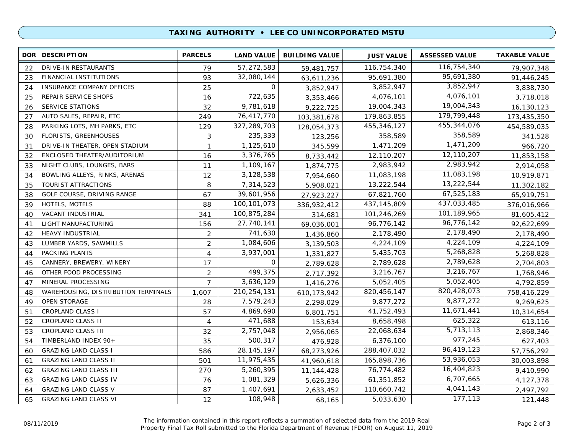### **TAXING AUTHORITY • LEE CO UNINCORPORATED MSTU**

| <b>DOR</b> | <b>DESCRIPTION</b>                  | <b>PARCELS</b> | <b>LAND VALUE</b> | <b>BUILDING VALUE</b> | <b>JUST VALUE</b> | <b>ASSESSED VALUE</b> | <b>TAXABLE VALUE</b> |
|------------|-------------------------------------|----------------|-------------------|-----------------------|-------------------|-----------------------|----------------------|
| 22         | DRIVE-IN RESTAURANTS                | 79             | 57,272,583        | 59,481,757            | 116,754,340       | 116,754,340           | 79,907,348           |
| 23         | FINANCIAL INSTITUTIONS              | 93             | 32,080,144        | 63,611,236            | 95,691,380        | 95,691,380            | 91,446,245           |
| 24         | INSURANCE COMPANY OFFICES           | 25             | 0                 | 3,852,947             | 3,852,947         | 3,852,947             | 3,838,730            |
| 25         | REPAIR SERVICE SHOPS                | 16             | 722,635           | 3,353,466             | 4,076,101         | 4,076,101             | 3,718,018            |
| 26         | <b>SERVICE STATIONS</b>             | 32             | 9,781,618         | 9,222,725             | 19,004,343        | 19,004,343            | 16,130,123           |
| 27         | AUTO SALES, REPAIR, ETC             | 249            | 76,417,770        | 103,381,678           | 179,863,855       | 179,799,448           | 173,435,350          |
| 28         | PARKING LOTS, MH PARKS, ETC         | 129            | 327,289,703       | 128,054,373           | 455,346,127       | 455, 344, 076         | 454,589,035          |
| 30         | <b>FLORISTS, GREENHOUSES</b>        | 3              | 235,333           | 123,256               | 358,589           | 358,589               | 341,528              |
| 31         | DRIVE-IN THEATER, OPEN STADIUM      | $\mathbf{1}$   | 1,125,610         | 345,599               | 1,471,209         | 1,471,209             | 966,720              |
| 32         | ENCLOSED THEATER/AUDITORIUM         | 16             | 3,376,765         | 8,733,442             | 12,110,207        | 12,110,207            | 11,853,158           |
| 33         | NIGHT CLUBS, LOUNGES, BARS          | 11             | 1,109,167         | 1,874,775             | 2,983,942         | 2,983,942             | 2,914,058            |
| 34         | BOWLING ALLEYS, RINKS, ARENAS       | 12             | 3,128,538         | 7,954,660             | 11,083,198        | 11,083,198            | 10,919,871           |
| 35         | TOURIST ATTRACTIONS                 | 8              | 7,314,523         | 5,908,021             | 13,222,544        | 13,222,544            | 11,302,182           |
| 38         | GOLF COURSE, DRIVING RANGE          | 67             | 39,601,956        | 27,923,227            | 67,821,760        | 67,525,183            | 65,919,751           |
| 39         | HOTELS, MOTELS                      | 88             | 100, 101, 073     | 336,932,412           | 437, 145, 809     | 437,033,485           | 376,016,966          |
| 40         | VACANT INDUSTRIAL                   | 341            | 100,875,284       | 314,681               | 101,246,269       | 101,189,965           | 81,605,412           |
| 41         | LIGHT MANUFACTURING                 | 156            | 27,740,141        | 69,036,001            | 96,776,142        | 96,776,142            | 92,622,699           |
| 42         | <b>HEAVY INDUSTRIAL</b>             | 2              | 741,630           | 1,436,860             | 2,178,490         | 2,178,490             | 2,178,490            |
| 43         | LUMBER YARDS, SAWMILLS              | $\overline{2}$ | 1,084,606         | 3,139,503             | 4,224,109         | 4,224,109             | 4,224,109            |
| 44         | PACKING PLANTS                      | $\overline{4}$ | 3,937,001         | 1,331,827             | 5,435,703         | 5,268,828             | 5,268,828            |
| 45         | CANNERY, BREWERY, WINERY            | 17             | 0                 | 2,789,628             | 2,789,628         | 2,789,628             | 2,704,803            |
| 46         | OTHER FOOD PROCESSING               | $\overline{2}$ | 499,375           | 2,717,392             | 3,216,767         | 3,216,767             | 1,768,946            |
| 47         | MINERAL PROCESSING                  | $\overline{7}$ | 3,636,129         | 1,416,276             | 5,052,405         | 5,052,405             | 4,792,859            |
| 48         | WAREHOUSING, DISTRIBUTION TERMINALS | 1,607          | 210,254,131       | 610, 173, 942         | 820,456,147       | 820,428,073           | 758,416,229          |
| 49         | <b>OPEN STORAGE</b>                 | 28             | 7,579,243         | 2,298,029             | 9,877,272         | 9,877,272             | 9,269,625            |
| 51         | <b>CROPLAND CLASS I</b>             | 57             | 4,869,690         | 6,801,751             | 41,752,493        | 11,671,441            | 10,314,654           |
| 52         | CROPLAND CLASS II                   | 4              | 471,688           | 153,634               | 8,658,498         | 625,322               | 613,116              |
| 53         | CROPLAND CLASS III                  | 32             | 2,757,048         | 2,956,065             | 22,068,634        | 5,713,113             | 2,868,346            |
| 54         | TIMBERLAND INDEX 90+                | 35             | 500,317           | 476,928               | 6,376,100         | 977,245               | 627,403              |
| 60         | <b>GRAZING LAND CLASS I</b>         | 586            | 28, 145, 197      | 68,273,926            | 288,407,032       | 96,419,123            | 57,756,292           |
| 61         | <b>GRAZING LAND CLASS II</b>        | 501            | 11,975,435        | 41,960,618            | 165,898,736       | 53,936,053            | 30,003,898           |
| 62         | <b>GRAZING LAND CLASS III</b>       | 270            | 5,260,395         | 11,144,428            | 76,774,482        | 16,404,823            | 9,410,990            |
| 63         | <b>GRAZING LAND CLASS IV</b>        | 76             | 1,081,329         | 5,626,336             | 61,351,852        | 6,707,665             | 4,127,378            |
| 64         | <b>GRAZING LAND CLASS V</b>         | 87             | 1,407,691         | 2,633,452             | 110,660,742       | 4,041,143             | 2,497,792            |
| 65         | <b>GRAZING LAND CLASS VI</b>        | 12             | 108,948           | 68,165                | 5,033,630         | 177,113               | 121,448              |